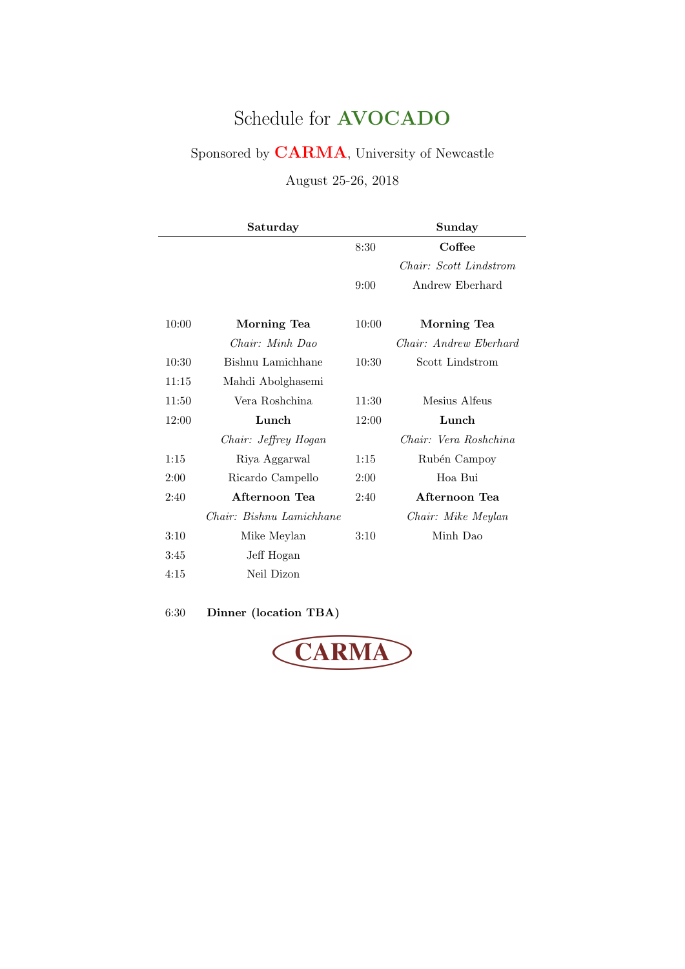# Schedule for AVOCADO

Sponsored by CARMA, University of Newcastle

August 25-26, 2018

|       | Saturday                 |       | Sunday                 |
|-------|--------------------------|-------|------------------------|
|       |                          | 8:30  | Coffee                 |
|       |                          |       | Chair: Scott Lindstrom |
|       |                          | 9:00  | Andrew Eberhard        |
|       |                          |       |                        |
| 10:00 | Morning Tea              | 10:00 | Morning Tea            |
|       | Chair: Minh Dao          |       | Chair: Andrew Eberhard |
| 10:30 | Bishnu Lamichhane        | 10:30 | Scott Lindstrom        |
| 11:15 | Mahdi Abolghasemi        |       |                        |
| 11:50 | Vera Roshchina           | 11:30 | Mesius Alfeus          |
| 12:00 | Lunch                    | 12:00 | Lunch                  |
|       | Chair: Jeffrey Hogan     |       | Chair: Vera Roshchina  |
| 1:15  | Riya Aggarwal            | 1:15  | Rubén Campoy           |
| 2:00  | Ricardo Campello         | 2:00  | Hoa Bui                |
| 2:40  | Afternoon Tea            | 2:40  | Afternoon Tea          |
|       | Chair: Bishnu Lamichhane |       | Chair: Mike Meylan     |
| 3:10  | Mike Meylan              | 3:10  | Minh Dao               |
| 3:45  | Jeff Hogan               |       |                        |
| 4:15  | Neil Dizon               |       |                        |

6:30 Dinner (location TBA)

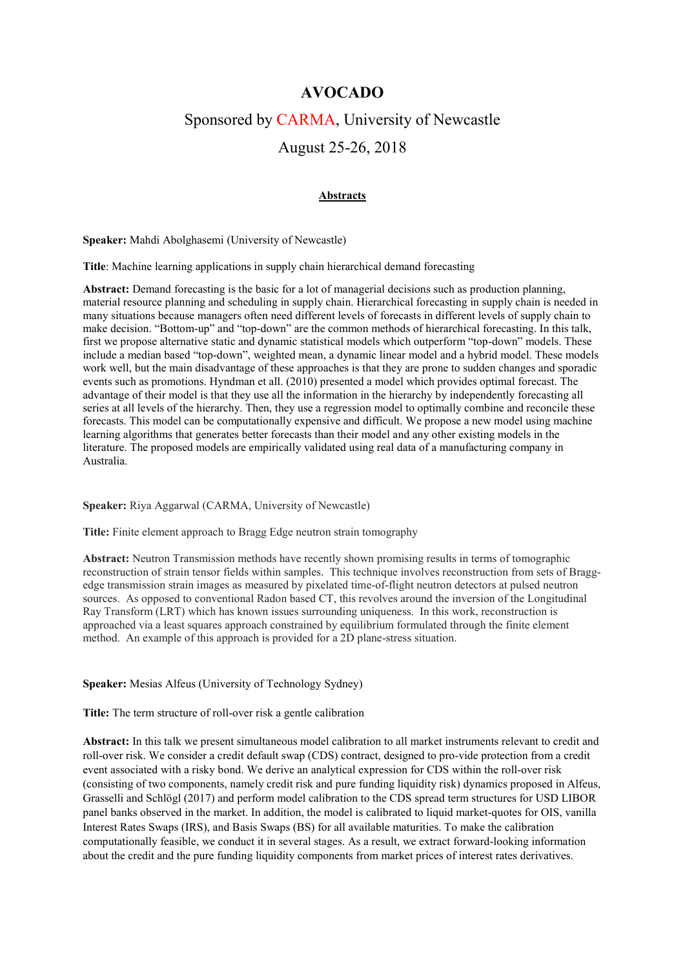# **AVOCADO**

# Sponsored by CARMA, University of Newcastle

# August 25-26, 2018

## **Abstracts**

**Speaker:** Mahdi Abolghasemi (University of Newcastle)

**Title**: Machine learning applications in supply chain hierarchical demand forecasting

**Abstract:** Demand forecasting is the basic for a lot of managerial decisions such as production planning, material resource planning and scheduling in supply chain. Hierarchical forecasting in supply chain is needed in many situations because managers often need different levels of forecasts in different levels of supply chain to make decision. "Bottom-up" and "top-down" are the common methods of hierarchical forecasting. In this talk, first we propose alternative static and dynamic statistical models which outperform "top-down" models. These include a median based "top-down", weighted mean, a dynamic linear model and a hybrid model. These models work well, but the main disadvantage of these approaches is that they are prone to sudden changes and sporadic events such as promotions. Hyndman et all. (2010) presented a model which provides optimal forecast. The advantage of their model is that they use all the information in the hierarchy by independently forecasting all series at all levels of the hierarchy. Then, they use a regression model to optimally combine and reconcile these forecasts. This model can be computationally expensive and difficult. We propose a new model using machine learning algorithms that generates better forecasts than their model and any other existing models in the literature. The proposed models are empirically validated using real data of a manufacturing company in Australia.

#### **Speaker:** Riya Aggarwal (CARMA, University of Newcastle)

**Title:** Finite element approach to Bragg Edge neutron strain tomography

**Abstract:** Neutron Transmission methods have recently shown promising results in terms of tomographic reconstruction of strain tensor fields within samples. This technique involves reconstruction from sets of Braggedge transmission strain images as measured by pixelated time-of-flight neutron detectors at pulsed neutron sources. As opposed to conventional Radon based CT, this revolves around the inversion of the Longitudinal Ray Transform (LRT) which has known issues surrounding uniqueness. In this work, reconstruction is approached via a least squares approach constrained by equilibrium formulated through the finite element method. An example of this approach is provided for a 2D plane-stress situation.

#### **Speaker:** Mesias Alfeus (University of Technology Sydney)

**Title:** The term structure of roll-over risk a gentle calibration

**Abstract:** In this talk we present simultaneous model calibration to all market instruments relevant to credit and roll-over risk. We consider a credit default swap (CDS) contract, designed to pro-vide protection from a credit event associated with a risky bond. We derive an analytical expression for CDS within the roll-over risk (consisting of two components, namely credit risk and pure funding liquidity risk) dynamics proposed in Alfeus, Grasselli and Schlögl (2017) and perform model calibration to the CDS spread term structures for USD LIBOR panel banks observed in the market. In addition, the model is calibrated to liquid market-quotes for OIS, vanilla Interest Rates Swaps (IRS), and Basis Swaps (BS) for all available maturities. To make the calibration computationally feasible, we conduct it in several stages. As a result, we extract forward-looking information about the credit and the pure funding liquidity components from market prices of interest rates derivatives.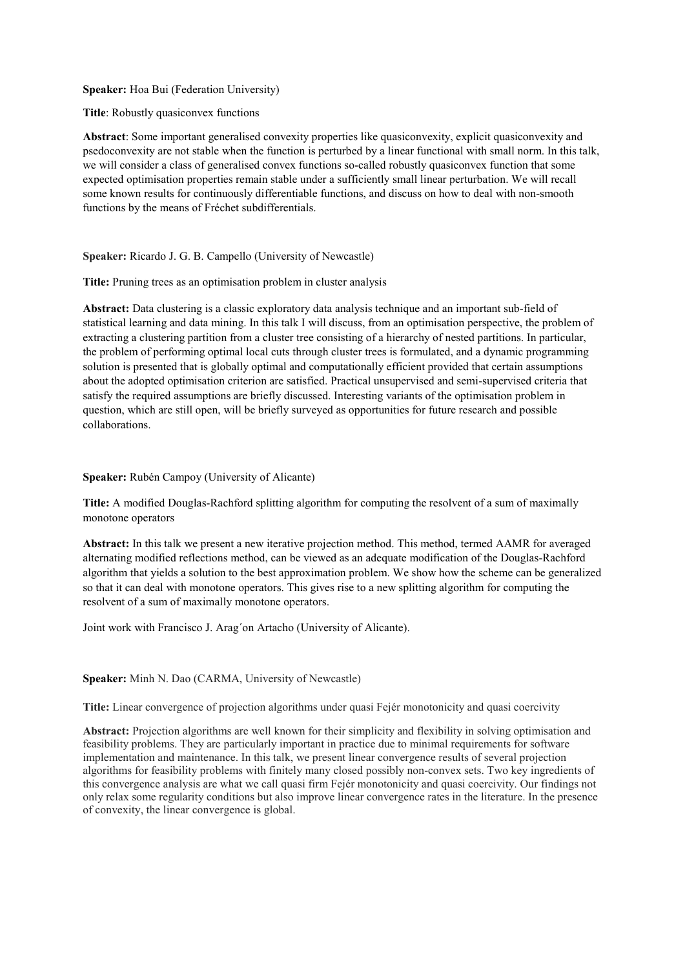## **Speaker:** Hoa Bui (Federation University)

**Title**: Robustly quasiconvex functions

**Abstract**: Some important generalised convexity properties like quasiconvexity, explicit quasiconvexity and psedoconvexity are not stable when the function is perturbed by a linear functional with small norm. In this talk, we will consider a class of generalised convex functions so-called robustly quasiconvex function that some expected optimisation properties remain stable under a sufficiently small linear perturbation. We will recall some known results for continuously differentiable functions, and discuss on how to deal with non-smooth functions by the means of Fréchet subdifferentials.

## **Speaker:** Ricardo J. G. B. Campello (University of Newcastle)

Title: Pruning trees as an optimisation problem in cluster analysis

**Abstract:** Data clustering is a classic exploratory data analysis technique and an important sub-field of statistical learning and data mining. In this talk I will discuss, from an optimisation perspective, the problem of extracting a clustering partition from a cluster tree consisting of a hierarchy of nested partitions. In particular, the problem of performing optimal local cuts through cluster trees is formulated, and a dynamic programming solution is presented that is globally optimal and computationally efficient provided that certain assumptions about the adopted optimisation criterion are satisfied. Practical unsupervised and semi-supervised criteria that satisfy the required assumptions are briefly discussed. Interesting variants of the optimisation problem in question, which are still open, will be briefly surveyed as opportunities for future research and possible collaborations.

#### **Speaker:** Rubén Campoy (University of Alicante)

**Title:** A modified Douglas-Rachford splitting algorithm for computing the resolvent of a sum of maximally monotone operators

**Abstract:** In this talk we present a new iterative projection method. This method, termed AAMR for averaged alternating modified reflections method, can be viewed as an adequate modification of the Douglas-Rachford algorithm that yields a solution to the best approximation problem. We show how the scheme can be generalized so that it can deal with monotone operators. This gives rise to a new splitting algorithm for computing the resolvent of a sum of maximally monotone operators.

Joint work with Francisco J. Arag´on Artacho (University of Alicante).

## **Speaker:** Minh N. Dao (CARMA, University of Newcastle)

**Title:** Linear convergence of projection algorithms under quasi Fejér monotonicity and quasi coercivity

**Abstract:** Projection algorithms are well known for their simplicity and flexibility in solving optimisation and feasibility problems. They are particularly important in practice due to minimal requirements for software implementation and maintenance. In this talk, we present linear convergence results of several projection algorithms for feasibility problems with finitely many closed possibly non-convex sets. Two key ingredients of this convergence analysis are what we call quasi firm Fejér monotonicity and quasi coercivity. Our findings not only relax some regularity conditions but also improve linear convergence rates in the literature. In the presence of convexity, the linear convergence is global.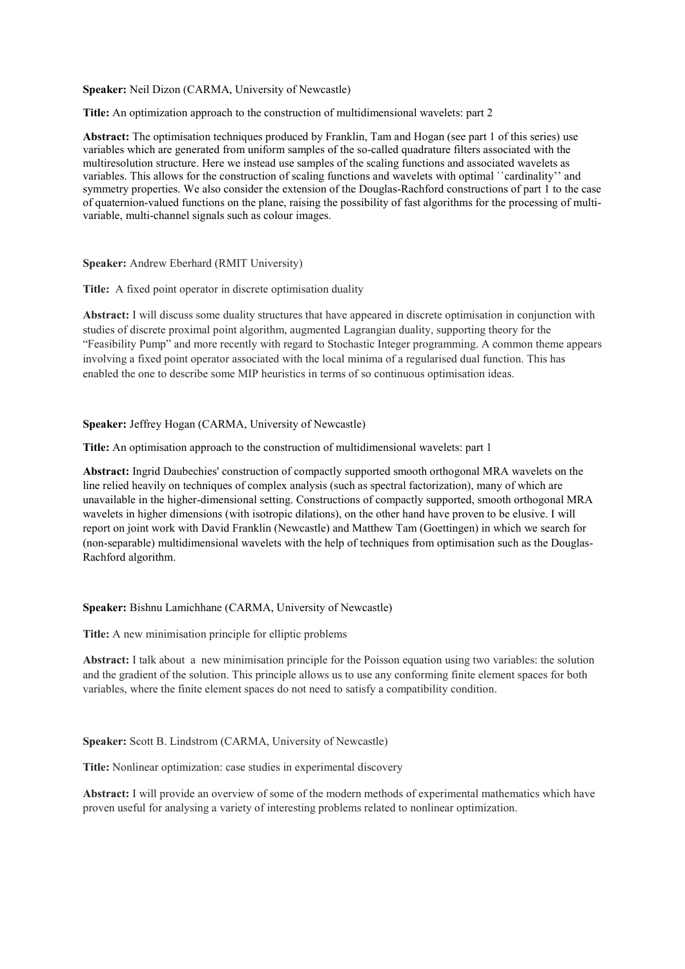**Speaker:** Neil Dizon (CARMA, University of Newcastle)

**Title:** An optimization approach to the construction of multidimensional wavelets: part 2

**Abstract:** The optimisation techniques produced by Franklin, Tam and Hogan (see part 1 of this series) use variables which are generated from uniform samples of the so-called quadrature filters associated with the multiresolution structure. Here we instead use samples of the scaling functions and associated wavelets as variables. This allows for the construction of scaling functions and wavelets with optimal ``cardinality'' and symmetry properties. We also consider the extension of the Douglas-Rachford constructions of part 1 to the case of quaternion-valued functions on the plane, raising the possibility of fast algorithms for the processing of multivariable, multi-channel signals such as colour images.

**Speaker:** Andrew Eberhard (RMIT University)

**Title:** A fixed point operator in discrete optimisation duality

**Abstract:** I will discuss some duality structures that have appeared in discrete optimisation in conjunction with studies of discrete proximal point algorithm, augmented Lagrangian duality, supporting theory for the "Feasibility Pump" and more recently with regard to Stochastic Integer programming. A common theme appears involving a fixed point operator associated with the local minima of a regularised dual function. This has enabled the one to describe some MIP heuristics in terms of so continuous optimisation ideas.

#### **Speaker:** Jeffrey Hogan (CARMA, University of Newcastle)

**Title:** An optimisation approach to the construction of multidimensional wavelets: part 1

**Abstract:** Ingrid Daubechies' construction of compactly supported smooth orthogonal MRA wavelets on the line relied heavily on techniques of complex analysis (such as spectral factorization), many of which are unavailable in the higher-dimensional setting. Constructions of compactly supported, smooth orthogonal MRA wavelets in higher dimensions (with isotropic dilations), on the other hand have proven to be elusive. I will report on joint work with David Franklin (Newcastle) and Matthew Tam (Goettingen) in which we search for (non-separable) multidimensional wavelets with the help of techniques from optimisation such as the Douglas-Rachford algorithm.

#### **Speaker:** Bishnu Lamichhane (CARMA, University of Newcastle)

**Title:** A new minimisation principle for elliptic problems

**Abstract:** I talk about a new minimisation principle for the Poisson equation using two variables: the solution and the gradient of the solution. This principle allows us to use any conforming finite element spaces for both variables, where the finite element spaces do not need to satisfy a compatibility condition.

#### **Speaker:** Scott B. Lindstrom (CARMA, University of Newcastle)

**Title:** Nonlinear optimization: case studies in experimental discovery

**Abstract:** I will provide an overview of some of the modern methods of experimental mathematics which have proven useful for analysing a variety of interesting problems related to nonlinear optimization.